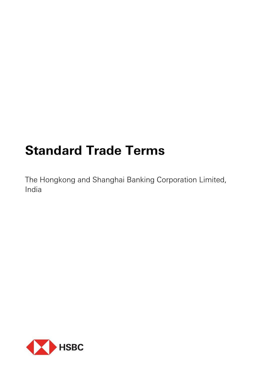# **Standard Trade Terms**

The Hongkong and Shanghai Banking Corporation Limited, India

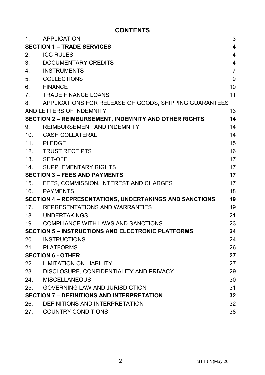# **CONTENTS**

| $\mathbf{1}$ . | <b>APPLICATION</b>                                       | 3                       |
|----------------|----------------------------------------------------------|-------------------------|
|                | <b>SECTION 1 - TRADE SERVICES</b>                        | $\overline{\mathbf{4}}$ |
| 2.             | <b>ICC RULES</b>                                         | $\overline{4}$          |
| 3.             | DOCUMENTARY CREDITS                                      | $\overline{4}$          |
| 4.             | <b>INSTRUMENTS</b>                                       | $\overline{7}$          |
| 5.             | <b>COLLECTIONS</b>                                       | 9                       |
| 6.             | <b>FINANCE</b>                                           | 10                      |
| 7.             | <b>TRADE FINANCE LOANS</b>                               | 11                      |
| 8.             | APPLICATIONS FOR RELEASE OF GOODS, SHIPPING GUARANTEES   |                         |
|                | AND LETTERS OF INDEMNITY                                 | 13                      |
|                | SECTION 2 - REIMBURSEMENT, INDEMNITY AND OTHER RIGHTS    | 14                      |
| 9.             | REIMBURSEMENT AND INDEMNITY                              | 14                      |
| 10.            | <b>CASH COLLATERAL</b>                                   | 14                      |
| 11.            | <b>PLEDGE</b>                                            | 15                      |
| 12.            | <b>TRUST RECEIPTS</b>                                    | 16                      |
| 13.            | SET-OFF                                                  | 17                      |
| 14.            | SUPPLEMENTARY RIGHTS                                     | 17                      |
|                | <b>SECTION 3 - FEES AND PAYMENTS</b>                     | 17                      |
| 15.            | FEES, COMMISSION, INTEREST AND CHARGES                   | 17                      |
| 16.            | PAYMENTS                                                 | 18                      |
|                | SECTION 4 - REPRESENTATIONS, UNDERTAKINGS AND SANCTIONS  | 19                      |
|                | 17. REPRESENTATIONS AND WARRANTIES                       | 19                      |
|                | 18. UNDERTAKINGS                                         | 21                      |
| 19.            | COMPLIANCE WITH LAWS AND SANCTIONS                       | 23                      |
|                | <b>SECTION 5 - INSTRUCTIONS AND ELECTRONIC PLATFORMS</b> | 24                      |
| 20.            | INSTRUCTIONS                                             | 24                      |
| 21.            | PLATFORMS                                                | 26                      |
|                | <b>SECTION 6 - OTHER</b>                                 | 27                      |
| 22.            | LIMITATION ON LIABILITY                                  | 27                      |
| 23.            | DISCLOSURE, CONFIDENTIALITY AND PRIVACY                  | 29                      |
| 24.            | <b>MISCELLANEOUS</b>                                     | 30                      |
| 25.            | <b>GOVERNING LAW AND JURISDICTION</b>                    | 31                      |
|                | <b>SECTION 7 - DEFINITIONS AND INTERPRETATION</b>        | 32                      |
| 26.            | DEFINITIONS AND INTERPRETATION                           | 32                      |
| 27.            | <b>COUNTRY CONDITIONS</b>                                | 38                      |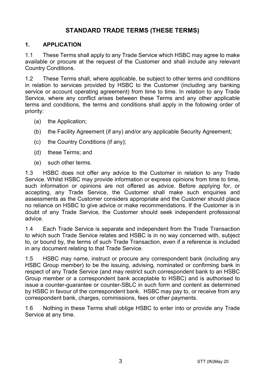# **STANDARD TRADE TERMS (THESE TERMS)**

#### **1. APPLICATION**

1.1 These Terms shall apply to any Trade Service which HSBC may agree to make available or procure at the request of the Customer and shall include any relevant Country Conditions.

1.2 These Terms shall, where applicable, be subject to other terms and conditions in relation to services provided by HSBC to the Customer (including any banking service or account operating agreement) from time to time. In relation to any Trade Service, where any conflict arises between these Terms and any other applicable terms and conditions, the terms and conditions shall apply in the following order of priority:

- (a) the Application;
- (b) the Facility Agreement (if any) and/or any applicable Security Agreement;
- (c) the Country Conditions (if any);
- (d) these Terms; and
- (e) such other terms.

1.3 HSBC does not offer any advice to the Customer in relation to any Trade Service. Whilst HSBC may provide information or express opinions from time to time, such information or opinions are not offered as advice. Before applying for, or accepting, any Trade Service, the Customer shall make such enquiries and assessments as the Customer considers appropriate and the Customer should place no reliance on HSBC to give advice or make recommendations. If the Customer is in doubt of any Trade Service, the Customer should seek independent professional advice.

1.4 Each Trade Service is separate and independent from the Trade Transaction to which such Trade Service relates and HSBC is in no way concerned with, subject to, or bound by, the terms of such Trade Transaction, even if a reference is included in any document relating to that Trade Service.

1.5 HSBC may name, instruct or procure any correspondent bank (including any HSBC Group member) to be the issuing, advising, nominated or confirming bank in respect of any Trade Service (and may restrict such correspondent bank to an HSBC Group member or a correspondent bank acceptable to HSBC) and is authorised to issue a counter-guarantee or counter-SBLC in such form and content as determined by HSBC in favour of the correspondent bank. HSBC may pay to, or receive from any correspondent bank, charges, commissions, fees or other payments.

1.6 Nothing in these Terms shall oblige HSBC to enter into or provide any Trade Service at any time.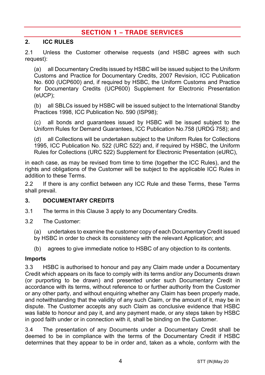# **SECTION 1 – TRADE SERVICES**

#### **2. ICC RULES**

2.1 Unless the Customer otherwise requests (and HSBC agrees with such request):

(a) all Documentary Credits issued by HSBC will be issued subject to the Uniform Customs and Practice for Documentary Credits, 2007 Revision, ICC Publication No. 600 (UCP600) and, if required by HSBC, the Uniform Customs and Practice for Documentary Credits (UCP600) Supplement for Electronic Presentation (eUCP);

(b) all SBLCs issued by HSBC will be issued subject to the International Standby Practices 1998, ICC Publication No. 590 (ISP98);

(c) all bonds and guarantees issued by HSBC will be issued subject to the Uniform Rules for Demand Guarantees, ICC Publication No.758 (URDG 758); and

(d) all Collections will be undertaken subject to the Uniform Rules for Collections 1995, ICC Publication No. 522 (URC 522) and, if required by HSBC, the Uniform Rules for Collections (URC 522) Supplement for Electronic Presentation (eURC),

in each case, as may be revised from time to time (together the ICC Rules), and the rights and obligations of the Customer will be subject to the applicable ICC Rules in addition to these Terms.

2.2 If there is any conflict between any ICC Rule and these Terms, these Terms shall prevail.

#### <span id="page-3-0"></span>**3. DOCUMENTARY CREDITS**

- 3.1 The terms in this Claus[e 3](#page-3-0) apply to any Documentary Credits.
- 3.2 The Customer:
	- (a) undertakes to examine the customer copy of each Documentary Credit issued by HSBC in order to check its consistency with the relevant Application; and
	- (b) agrees to give immediate notice to HSBC of any objection to its contents.

#### **Imports**

3.3 HSBC is authorised to honour and pay any Claim made under a Documentary Credit which appears on its face to comply with its terms and/or any Documents drawn (or purporting to be drawn) and presented under such Documentary Credit in accordance with its terms, without reference to or further authority from the Customer or any other party, and without enquiring whether any Claim has been properly made, and notwithstanding that the validity of any such Claim, or the amount of it, may be in dispute. The Customer accepts any such Claim as conclusive evidence that HSBC was liable to honour and pay it, and any payment made, or any steps taken by HSBC in good faith under or in connection with it, shall be binding on the Customer.

3.4 The presentation of any Documents under a Documentary Credit shall be deemed to be in compliance with the terms of the Documentary Credit if HSBC determines that they appear to be in order and, taken as a whole, conform with the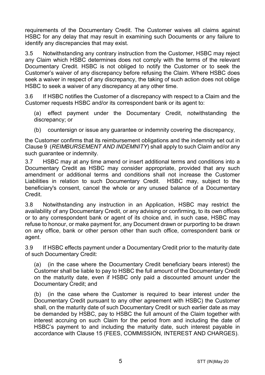requirements of the Documentary Credit. The Customer waives all claims against HSBC for any delay that may result in examining such Documents or any failure to identify any discrepancies that may exist.

3.5 Notwithstanding any contrary instruction from the Customer, HSBC may reject any Claim which HSBC determines does not comply with the terms of the relevant Documentary Credit. HSBC is not obliged to notify the Customer or to seek the Customer's waiver of any discrepancy before refusing the Claim. Where HSBC does seek a waiver in respect of any discrepancy, the taking of such action does not oblige HSBC to seek a waiver of any discrepancy at any other time.

3.6 If HSBC notifies the Customer of a discrepancy with respect to a Claim and the Customer requests HSBC and/or its correspondent bank or its agent to:

(a) effect payment under the Documentary Credit, notwithstanding the discrepancy; or

(b) countersign or issue any quarantee or indemnity covering the discrepancy,

the Customer confirms that its reimbursement obligations and the indemnity set out in Claus[e 9](#page-13-0) (*[REIMBURSEMENT AND INDEMNITY](#page-13-0)*) shall apply to such Claim and/or any such guarantee or indemnity.

3.7 HSBC may at any time amend or insert additional terms and conditions into a Documentary Credit as HSBC may consider appropriate, provided that any such amendment or additional terms and conditions shall not increase the Customer Liabilities in relation to such Documentary Credit. HSBC may, subject to the beneficiary's consent, cancel the whole or any unused balance of a Documentary Credit.

3.8 Notwithstanding any instruction in an Application, HSBC may restrict the availability of any Documentary Credit, or any advising or confirming, to its own offices or to any correspondent bank or agent of its choice and, in such case, HSBC may refuse to honour, or make payment for, any Document drawn or purporting to be drawn on any office, bank or other person other than such office, correspondent bank or agent.

3.9 If HSBC effects payment under a Documentary Credit prior to the maturity date of such Documentary Credit:

(a) (in the case where the Documentary Credit beneficiary bears interest) the Customer shall be liable to pay to HSBC the full amount of the Documentary Credit on the maturity date, even if HSBC only paid a discounted amount under the Documentary Credit; and

(b) (in the case where the Customer is required to bear interest under the Documentary Credit pursuant to any other agreement with HSBC) the Customer shall, on the maturity date of such Documentary Credit or such earlier date as may be demanded by HSBC, pay to HSBC the full amount of the Claim together with interest accruing on such Claim for the period from and including the date of HSBC's payment to and including the maturity date, such interest payable in accordance with Clause [15](#page-16-0) [\(FEES, COMMISSION, INTEREST AND CHARGES\)](#page-16-0).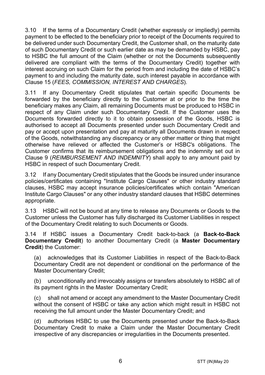3.10 If the terms of a Documentary Credit (whether expressly or impliedly) permits payment to be effected to the beneficiary prior to receipt of the Documents required to be delivered under such Documentary Credit, the Customer shall, on the maturity date of such Documentary Credit or such earlier date as may be demanded by HSBC, pay to HSBC the full amount of the Claim (whether or not the Documents subsequently delivered are compliant with the terms of the Documentary Credit) together with interest accruing on such Claim for the period from and including the date of HSBC's payment to and including the maturity date, such interest payable in accordance with Clause [15](#page-16-0) (*[FEES, COMMISSION, INTEREST AND CHARGES](#page-16-0)*).

3.11 If any Documentary Credit stipulates that certain specific Documents be forwarded by the beneficiary directly to the Customer at or prior to the time the beneficiary makes any Claim, all remaining Documents must be produced to HSBC in respect of any Claim under such Documentary Credit. If the Customer uses the Documents forwarded directly to it to obtain possession of the Goods, HSBC is authorised to accept all Documents presented under such Documentary Credit and pay or accept upon presentation and pay at maturity all Documents drawn in respect of the Goods, notwithstanding any discrepancy or any other matter or thing that might otherwise have relieved or affected the Customer's or HSBC's obligations. The Customer confirms that its reimbursement obligations and the indemnity set out in Clause [9](#page-13-0) (*[REIMBURSEMENT AND INDEMNITY](#page-13-0)*) shall apply to any amount paid by HSBC in respect of such Documentary Credit.

3.12 If any Documentary Credit stipulates that the Goods be insured under insurance policies/certificates containing "Institute Cargo Clauses" or other industry standard clauses, HSBC may accept insurance policies/certificates which contain "American Institute Cargo Clauses" or any other industry standard clauses that HSBC determines appropriate.

3.13 HSBC will not be bound at any time to release any Documents or Goods to the Customer unless the Customer has fully discharged its Customer Liabilities in respect of the Documentary Credit relating to such Documents or Goods.

<span id="page-5-0"></span>3.14 If HSBC issues a Documentary Credit back-to-back (a **Back-to-Back Documentary Credit**) to another Documentary Credit (a **Master Documentary Credit**) the Customer:

(a) acknowledges that its Customer Liabilities in respect of the Back-to-Back Documentary Credit are not dependent or conditional on the performance of the Master Documentary Credit;

(b) unconditionally and irrevocably assigns or transfers absolutely to HSBC all of its payment rights in the Master Documentary Credit;

(c) shall not amend or accept any amendment to the Master Documentary Credit without the consent of HSBC or take any action which might result in HSBC not receiving the full amount under the Master Documentary Credit; and

(d) authorises HSBC to use the Documents presented under the Back-to-Back Documentary Credit to make a Claim under the Master Documentary Credit irrespective of any discrepancies or irregularities in the Documents presented.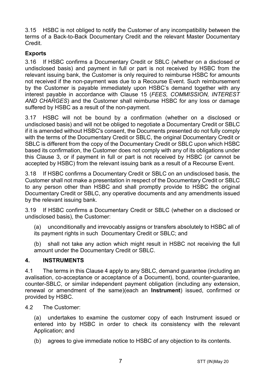3.15 HSBC is not obliged to notify the Customer of any incompatibility between the terms of a Back-to-Back Documentary Credit and the relevant Master Documentary Credit.

#### **Exports**

3.16 If HSBC confirms a Documentary Credit or SBLC (whether on a disclosed or undisclosed basis) and payment in full or part is not received by HSBC from the relevant issuing bank, the Customer is only required to reimburse HSBC for amounts not received if the non-payment was due to a Recourse Event. Such reimbursement by the Customer is payable immediately upon HSBC's demand together with any interest payable in accordance with Clause [15](#page-16-0) (*[FEES, COMMISSION, INTEREST](#page-16-0)  [AND CHARGES](#page-16-0)*) and the Customer shall reimburse HSBC for any loss or damage suffered by HSBC as a result of the non-payment.

3.17 HSBC will not be bound by a confirmation (whether on a disclosed or undisclosed basis) and will not be obliged to negotiate a Documentary Credit or SBLC if it is amended without HSBC's consent, the Documents presented do not fully comply with the terms of the Documentary Credit or SBLC, the original Documentary Credit or SBLC is different from the copy of the Documentary Credit or SBLC upon which HSBC based its confirmation, the Customer does not comply with any of its obligations under this Clause [3,](#page-3-0) or if payment in full or part is not received by HSBC (or cannot be accepted by HSBC) from the relevant issuing bank as a result of a Recourse Event.

3.18 If HSBC confirms a Documentary Credit or SBLC on an undisclosed basis, the Customer shall not make a presentation in respect of the Documentary Credit or SBLC to any person other than HSBC and shall promptly provide to HSBC the original Documentary Credit or SBLC, any operative documents and any amendments issued by the relevant issuing bank.

3.19 If HSBC confirms a Documentary Credit or SBLC (whether on a disclosed or undisclosed basis), the Customer:

(a) unconditionally and irrevocably assigns or transfers absolutely to HSBC all of its payment rights in such Documentary Credit or SBLC; and

(b) shall not take any action which might result in HSBC not receiving the full amount under the Documentary Credit or SBLC.

#### <span id="page-6-0"></span>**4. INSTRUMENTS**

4.1 The terms in this Claus[e 4](#page-6-0) apply to any SBLC, demand guarantee (including an avalisation, co-acceptance or acceptance of a Document), bond, counter-guarantee, counter-SBLC, or similar independent payment obligation (including any extension, renewal or amendment of the same)(each an **Instrument**) issued, confirmed or provided by HSBC.

4.2 The Customer:

(a) undertakes to examine the customer copy of each Instrument issued or entered into by HSBC in order to check its consistency with the relevant Application; and

(b) agrees to give immediate notice to HSBC of any objection to its contents.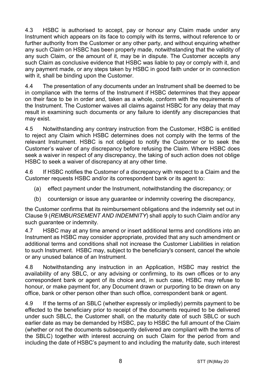4.3 HSBC is authorised to accept, pay or honour any Claim made under any Instrument which appears on its face to comply with its terms, without reference to or further authority from the Customer or any other party, and without enquiring whether any such Claim on HSBC has been properly made, notwithstanding that the validity of any such Claim, or the amount of it, may be in dispute. The Customer accepts any such Claim as conclusive evidence that HSBC was liable to pay or comply with it, and any payment made, or any steps taken by HSBC in good faith under or in connection with it, shall be binding upon the Customer.

4.4 The presentation of any documents under an Instrument shall be deemed to be in compliance with the terms of the Instrument if HSBC determines that they appear on their face to be in order and, taken as a whole, conform with the requirements of the Instrument. The Customer waives all claims against HSBC for any delay that may result in examining such documents or any failure to identify any discrepancies that may exist.

4.5 Notwithstanding any contrary instruction from the Customer, HSBC is entitled to reject any Claim which HSBC determines does not comply with the terms of the relevant Instrument. HSBC is not obliged to notify the Customer or to seek the Customer's waiver of any discrepancy before refusing the Claim. Where HSBC does seek a waiver in respect of any discrepancy, the taking of such action does not oblige HSBC to seek a waiver of discrepancy at any other time.

4.6 If HSBC notifies the Customer of a discrepancy with respect to a Claim and the Customer requests HSBC and/or its correspondent bank or its agent to:

- (a) effect payment under the Instrument, notwithstanding the discrepancy; or
- (b) countersign or issue any guarantee or indemnity covering the discrepancy,

the Customer confirms that its reimbursement obligations and the indemnity set out in Clause [9](#page-13-0) (*[REIMBURSEMENT AND INDEMNITY](#page-13-0)*) shall apply to such Claim and/or any such quarantee or indemnity.

4.7 HSBC may at any time amend or insert additional terms and conditions into an Instrument as HSBC may consider appropriate, provided that any such amendment or additional terms and conditions shall not increase the Customer Liabilities in relation to such Instrument. HSBC may, subject to the beneficiary's consent, cancel the whole or any unused balance of an Instrument.

4.8 Notwithstanding any instruction in an Application, HSBC may restrict the availability of any SBLC, or any advising or confirming, to its own offices or to any correspondent bank or agent of its choice and, in such case, HSBC may refuse to honour, or make payment for, any Document drawn or purporting to be drawn on any office, bank or other person other than such office, correspondent bank or agent.

4.9 If the terms of an SBLC (whether expressly or impliedly) permits payment to be effected to the beneficiary prior to receipt of the documents required to be delivered under such SBLC, the Customer shall, on the maturity date of such SBLC or such earlier date as may be demanded by HSBC, pay to HSBC the full amount of the Claim (whether or not the documents subsequently delivered are compliant with the terms of the SBLC) together with interest accruing on such Claim for the period from and including the date of HSBC's payment to and including the maturity date, such interest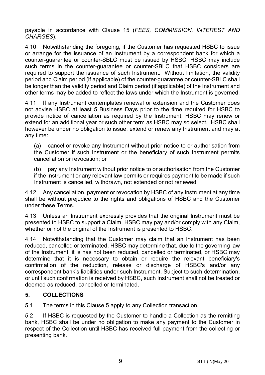payable in accordance with Clause [15](#page-16-0) (*[FEES, COMMISSION, INTEREST AND](#page-16-0)  [CHARGES](#page-16-0)*).

4.10 Notwithstanding the foregoing, if the Customer has requested HSBC to issue or arrange for the issuance of an Instrument by a correspondent bank for which a counter-guarantee or counter-SBLC must be issued by HSBC, HSBC may include such terms in the counter-guarantee or counter-SBLC that HSBC considers are required to support the issuance of such Instrument. Without limitation, the validity period and Claim period (if applicable) of the counter-guarantee or counter-SBLC shall be longer than the validity period and Claim period (if applicable) of the Instrument and other terms may be added to reflect the laws under which the Instrument is governed.

4.11 If any Instrument contemplates renewal or extension and the Customer does not advise HSBC at least 5 Business Days prior to the time required for HSBC to provide notice of cancellation as required by the Instrument, HSBC may renew or extend for an additional year or such other term as HSBC may so select. HSBC shall however be under no obligation to issue, extend or renew any Instrument and may at any time:

(a) cancel or revoke any Instrument without prior notice to or authorisation from the Customer if such Instrument or the beneficiary of such Instrument permits cancellation or revocation; or

(b) pay any Instrument without prior notice to or authorisation from the Customer if the Instrument or any relevant law permits or requires payment to be made if such Instrument is cancelled, withdrawn, not extended or not renewed.

4.12 Any cancellation, payment or revocation by HSBC of any Instrument at any time shall be without prejudice to the rights and obligations of HSBC and the Customer under these Terms.

4.13 Unless an Instrument expressly provides that the original Instrument must be presented to HSBC to support a Claim, HSBC may pay and/or comply with any Claim, whether or not the original of the Instrument is presented to HSBC.

4.14 Notwithstanding that the Customer may claim that an Instrument has been reduced, cancelled or terminated, HSBC may determine that, due to the governing law of the Instrument, it is has not been reduced, cancelled or terminated, or HSBC may determine that it is necessary to obtain or require the relevant beneficiary's confirmation of the reduction, release or discharge of HSBC's and/or any correspondent bank's liabilities under such Instrument. Subject to such determination, or until such confirmation is received by HSBC, such Instrument shall not be treated or deemed as reduced, cancelled or terminated.

### <span id="page-8-0"></span>**5. COLLECTIONS**

5.1 The terms in this Claus[e 5](#page-8-0) apply to any Collection transaction.

5.2 If HSBC is requested by the Customer to handle a Collection as the remitting bank, HSBC shall be under no obligation to make any payment to the Customer in respect of the Collection until HSBC has received full payment from the collecting or presenting bank.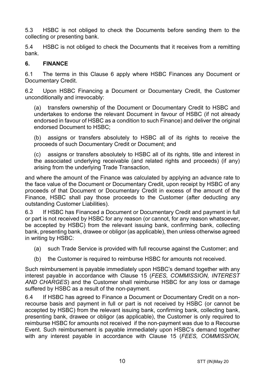5.3 HSBC is not obliged to check the Documents before sending them to the collecting or presenting bank.

5.4 HSBC is not obliged to check the Documents that it receives from a remitting bank.

#### <span id="page-9-0"></span>**6. FINANCE**

6.1 The terms in this Clause [6](#page-9-0) apply where HSBC Finances any Document or Documentary Credit.

6.2 Upon HSBC Financing a Document or Documentary Credit, the Customer unconditionally and irrevocably:

(a) transfers ownership of the Document or Documentary Credit to HSBC and undertakes to endorse the relevant Document in favour of HSBC (if not already endorsed in favour of HSBC as a condition to such Finance) and deliver the original endorsed Document to HSBC;

(b) assigns or transfers absolutely to HSBC all of its rights to receive the proceeds of such Documentary Credit or Document; and

(c) assigns or transfers absolutely to HSBC all of its rights, title and interest in the associated underlying receivable (and related rights and proceeds) (if any) arising from the underlying Trade Transaction,

and where the amount of the Finance was calculated by applying an advance rate to the face value of the Document or Documentary Credit, upon receipt by HSBC of any proceeds of that Document or Documentary Credit in excess of the amount of the Finance, HSBC shall pay those proceeds to the Customer (after deducting any outstanding Customer Liabilities).

6.3 If HSBC has Financed a Document or Documentary Credit and payment in full or part is not received by HSBC for any reason (or cannot, for any reason whatsoever, be accepted by HSBC) from the relevant issuing bank, confirming bank, collecting bank, presenting bank, drawee or obligor (as applicable), then unless otherwise agreed in writing by HSBC:

- (a) such Trade Service is provided with full recourse against the Customer; and
- (b) the Customer is required to reimburse HSBC for amounts not received.

Such reimbursement is payable immediately upon HSBC's demand together with any interest payable in accordance with Clause [15](#page-16-0) (*[FEES, COMMISSION, INTEREST](#page-16-0)  [AND CHARGES](#page-16-0)*) and the Customer shall reimburse HSBC for any loss or damage suffered by HSBC as a result of the non-payment.

6.4 If HSBC has agreed to Finance a Document or Documentary Credit on a nonrecourse basis and payment in full or part is not received by HSBC (or cannot be accepted by HSBC) from the relevant issuing bank, confirming bank, collecting bank, presenting bank, drawee or obligor (as applicable), the Customer is only required to reimburse HSBC for amounts not received if the non-payment was due to a Recourse Event. Such reimbursement is payable immediately upon HSBC's demand together with any interest payable in accordance with Clause [15](#page-16-0) (*[FEES, COMMISSION,](#page-16-0)*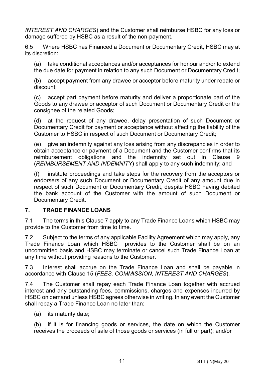*[INTEREST AND CHARGES](#page-16-0)*) and the Customer shall reimburse HSBC for any loss or damage suffered by HSBC as a result of the non-payment.

6.5 Where HSBC has Financed a Document or Documentary Credit, HSBC may at its discretion:

(a) take conditional acceptances and/or acceptances for honour and/or to extend the due date for payment in relation to any such Document or Documentary Credit;

(b) accept payment from any drawee or acceptor before maturity under rebate or discount;

(c) accept part payment before maturity and deliver a proportionate part of the Goods to any drawee or acceptor of such Document or Documentary Credit or the consignee of the related Goods;

(d) at the request of any drawee, delay presentation of such Document or Documentary Credit for payment or acceptance without affecting the liability of the Customer to HSBC in respect of such Document or Documentary Credit;

(e) give an indemnity against any loss arising from any discrepancies in order to obtain acceptance or payment of a Document and the Customer confirms that its reimbursement obligations and the indemnity set out in Clause [9](#page-13-0) (*[REIMBURSEMENT AND INDEMNITY](#page-13-0)*) shall apply to any such indemnity; and

(f) institute proceedings and take steps for the recovery from the acceptors or endorsers of any such Document or Documentary Credit of any amount due in respect of such Document or Documentary Credit, despite HSBC having debited the bank account of the Customer with the amount of such Document or Documentary Credit.

### <span id="page-10-0"></span>**7. TRADE FINANCE LOANS**

7.1 The terms in this Claus[e 7](#page-10-0) apply to any Trade Finance Loans which HSBC may provide to the Customer from time to time.

7.2 Subject to the terms of any applicable Facility Agreement which may apply, any Trade Finance Loan which HSBC provides to the Customer shall be on an uncommitted basis and HSBC may terminate or cancel such Trade Finance Loan at any time without providing reasons to the Customer.

7.3 Interest shall accrue on the Trade Finance Loan and shall be payable in accordance with Clause [15](#page-16-0) (*[FEES, COMMISSION, INTEREST AND CHARGES](#page-16-0)*).

7.4 The Customer shall repay each Trade Finance Loan together with accrued interest and any outstanding fees, commissions, charges and expenses incurred by HSBC on demand unless HSBC agrees otherwise in writing. In any event the Customer shall repay a Trade Finance Loan no later than:

(a) its maturity date;

(b) if it is for financing goods or services, the date on which the Customer receives the proceeds of sale of those goods or services (in full or part); and/or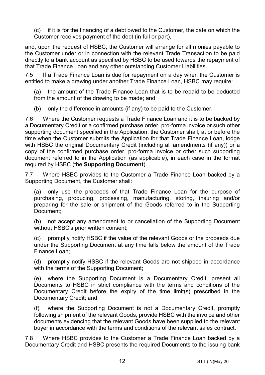(c) if it is for the financing of a debt owed to the Customer, the date on which the Customer receives payment of the debt (in full or part),

and, upon the request of HSBC, the Customer will arrange for all monies payable to the Customer under or in connection with the relevant Trade Transaction to be paid directly to a bank account as specified by HSBC to be used towards the repayment of that Trade Finance Loan and any other outstanding Customer Liabilities.

7.5 If a Trade Finance Loan is due for repayment on a day when the Customer is entitled to make a drawing under another Trade Finance Loan, HSBC may require:

(a) the amount of the Trade Finance Loan that is to be repaid to be deducted from the amount of the drawing to be made; and

(b) only the difference in amounts (if any) to be paid to the Customer.

7.6 Where the Customer requests a Trade Finance Loan and it is to be backed by a Documentary Credit or a confirmed purchase order, pro-forma invoice or such other supporting document specified in the Application, the Customer shall, at or before the time when the Customer submits the Application for that Trade Finance Loan, lodge with HSBC the original Documentary Credit (including all amendments (if any)) or a copy of the confirmed purchase order, pro-forma invoice or other such supporting document referred to in the Application (as applicable), in each case in the format required by HSBC (the **Supporting Document**).

7.7 Where HSBC provides to the Customer a Trade Finance Loan backed by a Supporting Document, the Customer shall:

(a) only use the proceeds of that Trade Finance Loan for the purpose of purchasing, producing, processing, manufacturing, storing, insuring and/or preparing for the sale or shipment of the Goods referred to in the Supporting Document;

(b) not accept any amendment to or cancellation of the Supporting Document without HSBC's prior written consent;

(c) promptly notify HSBC if the value of the relevant Goods or the proceeds due under the Supporting Document at any time falls below the amount of the Trade Finance Loan;

(d) promptly notify HSBC if the relevant Goods are not shipped in accordance with the terms of the Supporting Document;

(e) where the Supporting Document is a Documentary Credit, present all Documents to HSBC in strict compliance with the terms and conditions of the Documentary Credit before the expiry of the time limit(s) prescribed in the Documentary Credit; and

where the Supporting Document is not a Documentary Credit, promptly following shipment of the relevant Goods, provide HSBC with the invoice and other documents evidencing that the relevant Goods have been supplied to the relevant buyer in accordance with the terms and conditions of the relevant sales contract.

7.8 Where HSBC provides to the Customer a Trade Finance Loan backed by a Documentary Credit and HSBC presents the required Documents to the issuing bank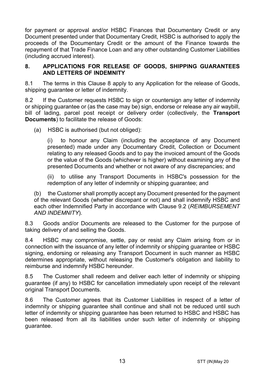for payment or approval and/or HSBC Finances that Documentary Credit or any Document presented under that Documentary Credit, HSBC is authorised to apply the proceeds of the Documentary Credit or the amount of the Finance towards the repayment of that Trade Finance Loan and any other outstanding Customer Liabilities (including accrued interest).

#### <span id="page-12-0"></span>**8. APPLICATIONS FOR RELEASE OF GOODS, SHIPPING GUARANTEES AND LETTERS OF INDEMNITY**

8.1 The terms in this Clause [8](#page-12-0) apply to any Application for the release of Goods, shipping guarantee or letter of indemnity.

8.2 If the Customer requests HSBC to sign or countersign any letter of indemnity or shipping guarantee or (as the case may be) sign, endorse or release any air waybill, bill of lading, parcel post receipt or delivery order (collectively, the **Transport Documents**) to facilitate the release of Goods:

(a) HSBC is authorised (but not obliged):

(i) to honour any Claim (including the acceptance of any Document presented) made under any Documentary Credit, Collection or Document relating to any released Goods and to pay the invoiced amount of the Goods or the value of the Goods (whichever is higher) without examining any of the presented Documents and whether or not aware of any discrepancies; and

(ii) to utilise any Transport Documents in HSBC's possession for the redemption of any letter of indemnity or shipping guarantee; and

(b) the Customer shall promptly accept any Document presented for the payment of the relevant Goods (whether discrepant or not) and shall indemnify HSBC and each other Indemnified Party in accordance with Clause [9.2](#page-13-1) (*[REIMBURSEMENT](#page-13-0)  [AND INDEMNITY](#page-13-0)*).

8.3 Goods and/or Documents are released to the Customer for the purpose of taking delivery of and selling the Goods.

8.4 HSBC may compromise, settle, pay or resist any Claim arising from or in connection with the issuance of any letter of indemnity or shipping guarantee or HSBC signing, endorsing or releasing any Transport Document in such manner as HSBC determines appropriate, without releasing the Customer's obligation and liability to reimburse and indemnify HSBC hereunder.

8.5 The Customer shall redeem and deliver each letter of indemnity or shipping guarantee (if any) to HSBC for cancellation immediately upon receipt of the relevant original Transport Documents.

8.6 The Customer agrees that its Customer Liabilities in respect of a letter of indemnity or shipping guarantee shall continue and shall not be reduced until such letter of indemnity or shipping guarantee has been returned to HSBC and HSBC has been released from all its liabilities under such letter of indemnity or shipping guarantee.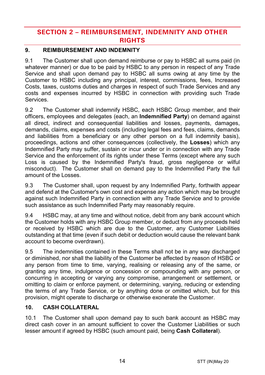# **SECTION 2 – REIMBURSEMENT, INDEMNITY AND OTHER RIGHTS**

## <span id="page-13-0"></span>**9. REIMBURSEMENT AND INDEMNITY**

9.1 The Customer shall upon demand reimburse or pay to HSBC all sums paid (in whatever manner) or due to be paid by HSBC to any person in respect of any Trade Service and shall upon demand pay to HSBC all sums owing at any time by the Customer to HSBC including any principal, interest, commissions, fees, Increased Costs, taxes, customs duties and charges in respect of such Trade Services and any costs and expenses incurred by HSBC in connection with providing such Trade Services.

<span id="page-13-1"></span>9.2 The Customer shall indemnify HSBC, each HSBC Group member, and their officers, employees and delegates (each, an **Indemnified Party**) on demand against all direct, indirect and consequential liabilities and losses, payments, damages, demands, claims, expenses and costs (including legal fees and fees, claims, demands and liabilities from a beneficiary or any other person on a full indemnity basis), proceedings, actions and other consequences (collectively, the **Losses**) which any Indemnified Party may suffer, sustain or incur under or in connection with any Trade Service and the enforcement of its rights under these Terms (except where any such Loss is caused by the Indemnified Party's fraud, gross negligence or wilful misconduct). The Customer shall on demand pay to the Indemnified Party the full amount of the Losses.

9.3 The Customer shall, upon request by any Indemnified Party, forthwith appear and defend at the Customer's own cost and expense any action which may be brought against such Indemnified Party in connection with any Trade Service and to provide such assistance as such Indemnified Party may reasonably require.

9.4 HSBC may, at any time and without notice, debit from any bank account which the Customer holds with any HSBC Group member, or deduct from any proceeds held or received by HSBC which are due to the Customer, any Customer Liabilities outstanding at that time (even if such debit or deduction would cause the relevant bank account to become overdrawn).

9.5 The indemnities contained in these Terms shall not be in any way discharged or diminished, nor shall the liability of the Customer be affected by reason of HSBC or any person from time to time, varying, realising or releasing any of the same, or granting any time, indulgence or concession or compounding with any person, or concurring in accepting or varying any compromise, arrangement or settlement, or omitting to claim or enforce payment, or determining, varying, reducing or extending the terms of any Trade Service, or by anything done or omitted which, but for this provision, might operate to discharge or otherwise exonerate the Customer.

### <span id="page-13-2"></span>**10. CASH COLLATERAL**

10.1 The Customer shall upon demand pay to such bank account as HSBC may direct cash cover in an amount sufficient to cover the Customer Liabilities or such lesser amount if agreed by HSBC (such amount paid, being **Cash Collateral**).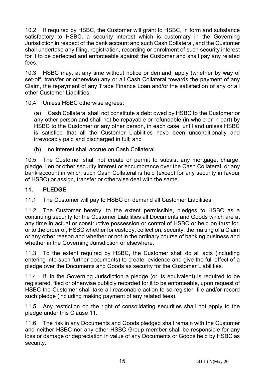10.2 If required by HSBC, the Customer will grant to HSBC, in form and substance satisfactory to HSBC, a security interest which is customary in the Governing Jurisdiction in respect of the bank account and such Cash Collateral, and the Customer shall undertake any filing, registration, recording or enrolment of such security interest for it to be perfected and enforceable against the Customer and shall pay any related fees.

10.3 HSBC may, at any time without notice or demand, apply (whether by way of set-off, transfer or otherwise) any or all Cash Collateral towards the payment of any Claim, the repayment of any Trade Finance Loan and/or the satisfaction of any or all other Customer Liabilities.

10.4 Unless HSBC otherwise agrees:

(a) Cash Collateral shall not constitute a debt owed by HSBC to the Customer or any other person and shall not be repayable or refundable (in whole or in part) by HSBC to the Customer or any other person, in each case, until and unless HSBC is satisfied that all the Customer Liabilities have been unconditionally and irrevocably paid and discharged in full; and

(b) no interest shall accrue on Cash Collateral.

10.5 The Customer shall not create or permit to subsist any mortgage, charge, pledge, lien or other security interest or encumbrance over the Cash Collateral, or any bank account in which such Cash Collateral is held (except for any security in favour of HSBC) or assign, transfer or otherwise deal with the same.

#### <span id="page-14-0"></span>**11. PLEDGE**

11.1 The Customer will pay to HSBC on demand all Customer Liabilities.

11.2 The Customer hereby, to the extent permissible, pledges to HSBC as a continuing security for the Customer Liabilities all Documents and Goods which are at any time in actual or constructive possession or control of HSBC or held on trust for, or to the order of, HSBC whether for custody, collection, security, the making of a Claim or any other reason and whether or not in the ordinary course of banking business and whether in the Governing Jurisdiction or elsewhere.

11.3 To the extent required by HSBC, the Customer shall do all acts (including entering into such further documents) to create, evidence and give the full effect of a pledge over the Documents and Goods as security for the Customer Liabilities.

11.4 If, in the Governing Jurisdiction a pledge (or its equivalent) is required to be registered, filed or otherwise publicly recorded for it to be enforceable, upon request of HSBC the Customer shall take all reasonable action to so register, file and/or record such pledge (including making payment of any related fees).

11.5 Any restriction on the right of consolidating securities shall not apply to the pledge under this Clause [11.](#page-14-0)

11.6 The risk in any Documents and Goods pledged shall remain with the Customer and neither HSBC nor any other HSBC Group member shall be responsible for any loss or damage or depreciation in value of any Documents or Goods held by HSBC as security.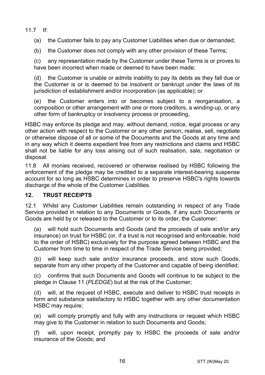11.7 If:

(a) the Customer fails to pay any Customer Liabilities when due or demanded;

(b) the Customer does not comply with any other provision of these Terms;

(c) any representation made by the Customer under these Terms is or proves to have been incorrect when made or deemed to have been made:

(d) the Customer is unable or admits inability to pay its debts as they fall due or the Customer is or is deemed to be insolvent or bankrupt under the laws of its jurisdiction of establishment and/or incorporation (as applicable); or

(e) the Customer enters into or becomes subject to a reorganisation, a composition or other arrangement with one or more creditors, a winding-up, or any other form of bankruptcy or insolvency process or proceeding,

HSBC may enforce its pledge and may, without demand, notice, legal process or any other action with respect to the Customer or any other person, realise, sell, negotiate or otherwise dispose of all or some of the Documents and the Goods at any time and in any way which it deems expedient free from any restrictions and claims and HSBC shall not be liable for any loss arising out of such realisation, sale, negotiation or disposal.

11.8 All monies received, recovered or otherwise realised by HSBC following the enforcement of the pledge may be credited to a separate interest-bearing suspense account for so long as HSBC determines in order to preserve HSBC's rights towards discharge of the whole of the Customer Liabilities.

#### **12. TRUST RECEIPTS**

12.1 Whilst any Customer Liabilities remain outstanding in respect of any Trade Service provided in relation to any Documents or Goods, if any such Documents or Goods are held by or released to the Customer or to its order, the Customer:

(a) will hold such Documents and Goods (and the proceeds of sale and/or any insurance) on trust for HSBC (or, if a trust is not recognised and enforceable, hold to the order of HSBC) exclusively for the purpose agreed between HSBC and the Customer from time to time in respect of the Trade Service being provided;

(b) will keep such sale and/or insurance proceeds, and store such Goods, separate from any other property of the Customer and capable of being identified;

(c) confirms that such Documents and Goods will continue to be subject to the pledge in Claus[e 11](#page-14-0) (*[PLEDGE](#page-14-0)*) but at the risk of the Customer;

(d) will, at the request of HSBC, execute and deliver to HSBC trust receipts in form and substance satisfactory to HSBC together with any other documentation HSBC may require;

(e) will comply promptly and fully with any instructions or request which HSBC may give to the Customer in relation to such Documents and Goods;

(f) will, upon receipt, promptly pay to HSBC the proceeds of sale and/or insurance of the Goods; and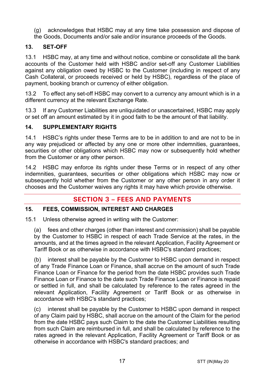(g) acknowledges that HSBC may at any time take possession and dispose of the Goods, Documents and/or sale and/or insurance proceeds of the Goods.

#### **13. SET-OFF**

13.1 HSBC may, at any time and without notice, combine or consolidate all the bank accounts of the Customer held with HSBC and/or set-off any Customer Liabilities against any obligation owed by HSBC to the Customer (including in respect of any Cash Collateral, or proceeds received or held by HSBC), regardless of the place of payment, booking branch or currency of either obligation.

13.2 To effect any set-off HSBC may convert to a currency any amount which is in a different currency at the relevant Exchange Rate.

13.3 If any Customer Liabilities are unliquidated or unascertained, HSBC may apply or set off an amount estimated by it in good faith to be the amount of that liability.

#### **14. SUPPLEMENTARY RIGHTS**

14.1 HSBC's rights under these Terms are to be in addition to and are not to be in any way prejudiced or affected by any one or more other indemnities, guarantees, securities or other obligations which HSBC may now or subsequently hold whether from the Customer or any other person.

14.2 HSBC may enforce its rights under these Terms or in respect of any other indemnities, guarantees, securities or other obligations which HSBC may now or subsequently hold whether from the Customer or any other person in any order it chooses and the Customer waives any rights it may have which provide otherwise.

# **SECTION 3 – FEES AND PAYMENTS**

#### <span id="page-16-0"></span>**15. FEES, COMMISSION, INTEREST AND CHARGES**

15.1 Unless otherwise agreed in writing with the Customer:

(a) fees and other charges (other than interest and commission) shall be payable by the Customer to HSBC in respect of each Trade Service at the rates, in the amounts, and at the times agreed in the relevant Application, Facility Agreement or Tariff Book or as otherwise in accordance with HSBC's standard practices;

(b) interest shall be payable by the Customer to HSBC upon demand in respect of any Trade Finance Loan or Finance, shall accrue on the amount of such Trade Finance Loan or Finance for the period from the date HSBC provides such Trade Finance Loan or Finance to the date such Trade Finance Loan or Finance is repaid or settled in full, and shall be calculated by reference to the rates agreed in the relevant Application, Facility Agreement or Tariff Book or as otherwise in accordance with HSBC's standard practices;

(c) interest shall be payable by the Customer to HSBC upon demand in respect of any Claim paid by HSBC, shall accrue on the amount of the Claim for the period from the date HSBC pays such Claim to the date the Customer Liabilities resulting from such Claim are reimbursed in full, and shall be calculated by reference to the rates agreed in the relevant Application, Facility Agreement or Tariff Book or as otherwise in accordance with HSBC's standard practices; and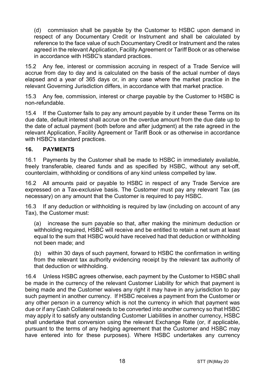(d) commission shall be payable by the Customer to HSBC upon demand in respect of any Documentary Credit or Instrument and shall be calculated by reference to the face value of such Documentary Credit or Instrument and the rates agreed in the relevant Application, Facility Agreement or Tariff Book or as otherwise in accordance with HSBC's standard practices.

15.2 Any fee, interest or commission accruing in respect of a Trade Service will accrue from day to day and is calculated on the basis of the actual number of days elapsed and a year of 365 days or, in any case where the market practice in the relevant Governing Jurisdiction differs, in accordance with that market practice.

15.3 Any fee, commission, interest or charge payable by the Customer to HSBC is non-refundable.

15.4 If the Customer fails to pay any amount payable by it under these Terms on its due date, default interest shall accrue on the overdue amount from the due date up to the date of actual payment (both before and after judgment) at the rate agreed in the relevant Application, Facility Agreement or Tariff Book or as otherwise in accordance with HSBC's standard practices.

#### **16. PAYMENTS**

16.1 Payments by the Customer shall be made to HSBC in immediately available, freely transferable, cleared funds and as specified by HSBC, without any set-off, counterclaim, withholding or conditions of any kind unless compelled by law.

16.2 All amounts paid or payable to HSBC in respect of any Trade Service are expressed on a Tax-exclusive basis. The Customer must pay any relevant Tax (as necessary) on any amount that the Customer is required to pay HSBC.

16.3 If any deduction or withholding is required by law (including on account of any Tax), the Customer must:

(a) increase the sum payable so that, after making the minimum deduction or withholding required, HSBC will receive and be entitled to retain a net sum at least equal to the sum that HSBC would have received had that deduction or withholding not been made; and

(b) within 30 days of such payment, forward to HSBC the confirmation in writing from the relevant tax authority evidencing receipt by the relevant tax authority of that deduction or withholding.

16.4 Unless HSBC agrees otherwise, each payment by the Customer to HSBC shall be made in the currency of the relevant Customer Liability for which that payment is being made and the Customer waives any right it may have in any jurisdiction to pay such payment in another currency. If HSBC receives a payment from the Customer or any other person in a currency which is not the currency in which that payment was due or if any Cash Collateral needs to be converted into another currency so that HSBC may apply it to satisfy any outstanding Customer Liabilities in another currency, HSBC shall undertake that conversion using the relevant Exchange Rate (or, if applicable, pursuant to the terms of any hedging agreement that the Customer and HSBC may have entered into for these purposes). Where HSBC undertakes any currency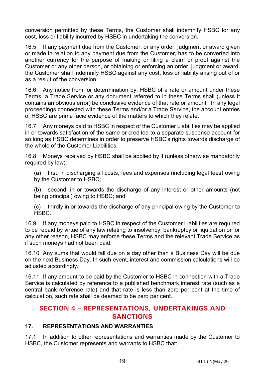conversion permitted by these Terms, the Customer shall indemnify HSBC for any cost, loss or liability incurred by HSBC in undertaking the conversion.

16.5 If any payment due from the Customer, or any order, judgment or award given or made in relation to any payment due from the Customer, has to be converted into another currency for the purpose of making or filing a claim or proof against the Customer or any other person, or obtaining or enforcing an order, judgment or award, the Customer shall indemnify HSBC against any cost, loss or liability arising out of or as a result of the conversion.

16.6 Any notice from, or determination by, HSBC of a rate or amount under these Terms, a Trade Service or any document referred to in these Terms shall (unless it contains an obvious error) be conclusive evidence of that rate or amount. In any legal proceedings connected with these Terms and/or a Trade Service, the account entries of HSBC are prima facie evidence of the matters to which they relate.

16.7 Any moneys paid to HSBC in respect of the Customer Liabilities may be applied in or towards satisfaction of the same or credited to a separate suspense account for so long as HSBC determines in order to preserve HSBC's rights towards discharge of the whole of the Customer Liabilities.

16.8 Moneys received by HSBC shall be applied by it (unless otherwise mandatorily required by law):

(a) first, in discharging all costs, fees and expenses (including legal fees) owing by the Customer to HSBC;

(b) second, in or towards the discharge of any interest or other amounts (not being principal) owing to HSBC; and

(c) thirdly in or towards the discharge of any principal owing by the Customer to HSBC.

16.9 If any moneys paid to HSBC in respect of the Customer Liabilities are required to be repaid by virtue of any law relating to insolvency, bankruptcy or liquidation or for any other reason, HSBC may enforce these Terms and the relevant Trade Service as if such moneys had not been paid.

16.10 Any sums that would fall due on a day other than a Business Day will be due on the next Business Day. In such event, interest and commission calculations will be adjusted accordingly.

16.11 If any amount to be paid by the Customer to HSBC in connection with a Trade Service is calculated by reference to a published benchmark interest rate (such as a central bank reference rate) and that rate is less than zero per cent at the time of calculation, such rate shall be deemed to be zero per cent.

# **SECTION 4 – REPRESENTATIONS, UNDERTAKINGS AND SANCTIONS**

#### **17. REPRESENTATIONS AND WARRANTIES**

17.1 In addition to other representations and warranties made by the Customer to HSBC, the Customer represents and warrants to HSBC that: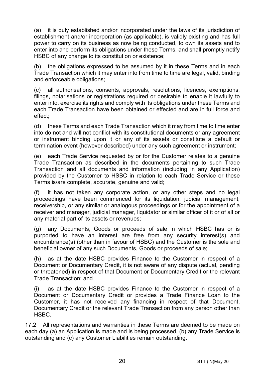(a) it is duly established and/or incorporated under the laws of its jurisdiction of establishment and/or incorporation (as applicable), is validly existing and has full power to carry on its business as now being conducted, to own its assets and to enter into and perform its obligations under these Terms, and shall promptly notify HSBC of any change to its constitution or existence;

(b) the obligations expressed to be assumed by it in these Terms and in each Trade Transaction which it may enter into from time to time are legal, valid, binding and enforceable obligations;

(c) all authorisations, consents, approvals, resolutions, licences, exemptions, filings, notarisations or registrations required or desirable to enable it lawfully to enter into, exercise its rights and comply with its obligations under these Terms and each Trade Transaction have been obtained or effected and are in full force and effect;

(d) these Terms and each Trade Transaction which it may from time to time enter into do not and will not conflict with its constitutional documents or any agreement or instrument binding upon it or any of its assets or constitute a default or termination event (however described) under any such agreement or instrument;

(e) each Trade Service requested by or for the Customer relates to a genuine Trade Transaction as described in the documents pertaining to such Trade Transaction and all documents and information (including in any Application) provided by the Customer to HSBC in relation to each Trade Service or these Terms is/are complete, accurate, genuine and valid;

(f) it has not taken any corporate action, or any other steps and no legal proceedings have been commenced for its liquidation, judicial management, receivership, or any similar or analogous proceedings or for the appointment of a receiver and manager, judicial manager, liquidator or similar officer of it or of all or any material part of its assets or revenues;

(g) any Documents, Goods or proceeds of sale in which HSBC has or is purported to have an interest are free from any security interest(s) and encumbrance(s) (other than in favour of HSBC) and the Customer is the sole and beneficial owner of any such Documents, Goods or proceeds of sale;

(h) as at the date HSBC provides Finance to the Customer in respect of a Document or Documentary Credit, it is not aware of any dispute (actual, pending or threatened) in respect of that Document or Documentary Credit or the relevant Trade Transaction; and

(i) as at the date HSBC provides Finance to the Customer in respect of a Document or Documentary Credit or provides a Trade Finance Loan to the Customer, it has not received any financing in respect of that Document, Documentary Credit or the relevant Trade Transaction from any person other than HSBC.

17.2 All representations and warranties in these Terms are deemed to be made on each day (a) an Application is made and is being processed, (b) any Trade Service is outstanding and (c) any Customer Liabilities remain outstanding.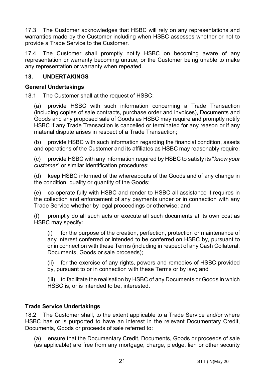17.3 The Customer acknowledges that HSBC will rely on any representations and warranties made by the Customer including when HSBC assesses whether or not to provide a Trade Service to the Customer.

17.4 The Customer shall promptly notify HSBC on becoming aware of any representation or warranty becoming untrue, or the Customer being unable to make any representation or warranty when repeated.

#### **18. UNDERTAKINGS**

#### **General Undertakings**

18.1 The Customer shall at the request of HSBC:

(a) provide HSBC with such information concerning a Trade Transaction (including copies of sale contracts, purchase order and invoices), Documents and Goods and any proposed sale of Goods as HSBC may require and promptly notify HSBC if any Trade Transaction is cancelled or terminated for any reason or if any material dispute arises in respect of a Trade Transaction;

(b) provide HSBC with such information regarding the financial condition, assets and operations of the Customer and its affiliates as HSBC may reasonably require;

(c) provide HSBC with any information required by HSBC to satisfy its "*know your customer*" or similar identification procedures;

(d) keep HSBC informed of the whereabouts of the Goods and of any change in the condition, quality or quantity of the Goods;

(e) co-operate fully with HSBC and render to HSBC all assistance it requires in the collection and enforcement of any payments under or in connection with any Trade Service whether by legal proceedings or otherwise; and

(f) promptly do all such acts or execute all such documents at its own cost as HSBC may specify:

(i) for the purpose of the creation, perfection, protection or maintenance of any interest conferred or intended to be conferred on HSBC by, pursuant to or in connection with these Terms (including in respect of any Cash Collateral, Documents, Goods or sale proceeds);

(ii) for the exercise of any rights, powers and remedies of HSBC provided by, pursuant to or in connection with these Terms or by law; and

(iii) to facilitate the realisation by HSBC of any Documents or Goods in which HSBC is, or is intended to be, interested.

#### **Trade Service Undertakings**

18.2 The Customer shall, to the extent applicable to a Trade Service and/or where HSBC has or is purported to have an interest in the relevant Documentary Credit, Documents, Goods or proceeds of sale referred to:

(a) ensure that the Documentary Credit, Documents, Goods or proceeds of sale (as applicable) are free from any mortgage, charge, pledge, lien or other security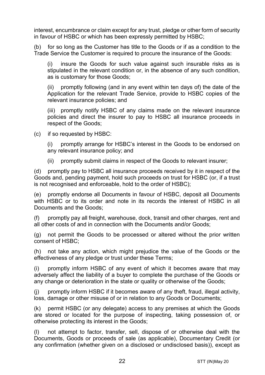interest, encumbrance or claim except for any trust, pledge or other form of security in favour of HSBC or which has been expressly permitted by HSBC;

(b) for so long as the Customer has title to the Goods or if as a condition to the Trade Service the Customer is required to procure the insurance of the Goods:

(i) insure the Goods for such value against such insurable risks as is stipulated in the relevant condition or, in the absence of any such condition, as is customary for those Goods;

(ii) promptly following (and in any event within ten days of) the date of the Application for the relevant Trade Service, provide to HSBC copies of the relevant insurance policies; and

(iii) promptly notify HSBC of any claims made on the relevant insurance policies and direct the insurer to pay to HSBC all insurance proceeds in respect of the Goods;

(c) if so requested by HSBC:

(i) promptly arrange for HSBC's interest in the Goods to be endorsed on any relevant insurance policy; and

(ii) promptly submit claims in respect of the Goods to relevant insurer;

(d) promptly pay to HSBC all insurance proceeds received by it in respect of the Goods and, pending payment, hold such proceeds on trust for HSBC (or, if a trust is not recognised and enforceable, hold to the order of HSBC);

(e) promptly endorse all Documents in favour of HSBC, deposit all Documents with HSBC or to its order and note in its records the interest of HSBC in all Documents and the Goods;

promptly pay all freight, warehouse, dock, transit and other charges, rent and all other costs of and in connection with the Documents and/or Goods;

(g) not permit the Goods to be processed or altered without the prior written consent of HSBC;

(h) not take any action, which might prejudice the value of the Goods or the effectiveness of any pledge or trust under these Terms;

(i) promptly inform HSBC of any event of which it becomes aware that may adversely affect the liability of a buyer to complete the purchase of the Goods or any change or deterioration in the state or quality or otherwise of the Goods;

(j) promptly inform HSBC if it becomes aware of any theft, fraud, illegal activity, loss, damage or other misuse of or in relation to any Goods or Documents;

(k) permit HSBC (or any delegate) access to any premises at which the Goods are stored or located for the purpose of inspecting, taking possession of, or otherwise protecting its interest in the Goods;

(l) not attempt to factor, transfer, sell, dispose of or otherwise deal with the Documents, Goods or proceeds of sale (as applicable), Documentary Credit (or any confirmation (whether given on a disclosed or undisclosed basis)), except as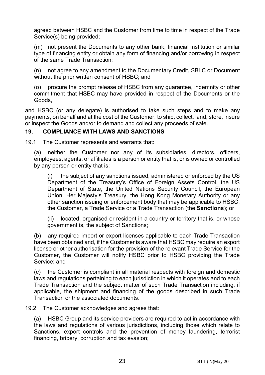agreed between HSBC and the Customer from time to time in respect of the Trade Service(s) being provided;

(m) not present the Documents to any other bank, financial institution or similar type of financing entity or obtain any form of financing and/or borrowing in respect of the same Trade Transaction;

(n) not agree to any amendment to the Documentary Credit, SBLC or Document without the prior written consent of HSBC; and

(o) procure the prompt release of HSBC from any guarantee, indemnity or other commitment that HSBC may have provided in respect of the Documents or the Goods,

and HSBC (or any delegate) is authorised to take such steps and to make any payments, on behalf and at the cost of the Customer, to ship, collect, land, store, insure or inspect the Goods and/or to demand and collect any proceeds of sale.

#### <span id="page-22-0"></span>**19. COMPLIANCE WITH LAWS AND SANCTIONS**

19.1 The Customer represents and warrants that:

(a) neither the Customer nor any of its subsidiaries, directors, officers, employees, agents, or affiliates is a person or entity that is, or is owned or controlled by any person or entity that is:

(i) the subject of any sanctions issued, administered or enforced by the US Department of the Treasury's Office of Foreign Assets Control, the US Department of State, the United Nations Security Council, the European Union, Her Majesty's Treasury, the Hong Kong Monetary Authority or any other sanction issuing or enforcement body that may be applicable to HSBC, the Customer, a Trade Service or a Trade Transaction (the **Sanctions**); or

(ii) located, organised or resident in a country or territory that is, or whose government is, the subject of Sanctions;

(b) any required import or export licenses applicable to each Trade Transaction have been obtained and, if the Customer is aware that HSBC may require an export license or other authorisation for the provision of the relevant Trade Service for the Customer, the Customer will notify HSBC prior to HSBC providing the Trade Service; and

(c) the Customer is compliant in all material respects with foreign and domestic laws and regulations pertaining to each jurisdiction in which it operates and to each Trade Transaction and the subject matter of such Trade Transaction including, if applicable, the shipment and financing of the goods described in such Trade Transaction or the associated documents.

19.2 The Customer acknowledges and agrees that:

(a) HSBC Group and its service providers are required to act in accordance with the laws and regulations of various jurisdictions, including those which relate to Sanctions, export controls and the prevention of money laundering, terrorist financing, bribery, corruption and tax evasion;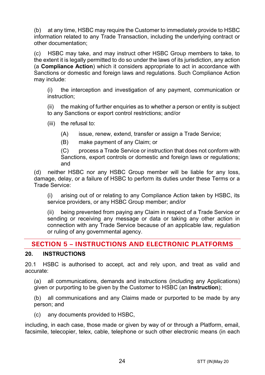(b) at any time, HSBC may require the Customer to immediately provide to HSBC information related to any Trade Transaction, including the underlying contract or other documentation;

(c) HSBC may take, and may instruct other HSBC Group members to take, to the extent it is legally permitted to do so under the laws of its jurisdiction, any action (a **Compliance Action**) which it considers appropriate to act in accordance with Sanctions or domestic and foreign laws and regulations. Such Compliance Action may include:

(i) the interception and investigation of any payment, communication or instruction;

(ii) the making of further enquiries as to whether a person or entity is subject to any Sanctions or export control restrictions; and/or

(iii) the refusal to:

(A) issue, renew, extend, transfer or assign a Trade Service;

(B) make payment of any Claim; or

(C) process a Trade Service or instruction that does not conform with Sanctions, export controls or domestic and foreign laws or regulations; and

(d) neither HSBC nor any HSBC Group member will be liable for any loss, damage, delay, or a failure of HSBC to perform its duties under these Terms or a Trade Service:

(i) arising out of or relating to any Compliance Action taken by HSBC, its service providers, or any HSBC Group member; and/or

(ii) being prevented from paying any Claim in respect of a Trade Service or sending or receiving any message or data or taking any other action in connection with any Trade Service because of an applicable law, regulation or ruling of any governmental agency.

# **SECTION 5 – INSTRUCTIONS AND ELECTRONIC PLATFORMS**

### <span id="page-23-0"></span>**20. INSTRUCTIONS**

20.1 HSBC is authorised to accept, act and rely upon, and treat as valid and accurate:

(a) all communications, demands and instructions (including any Applications) given or purporting to be given by the Customer to HSBC (an **Instruction**);

(b) all communications and any Claims made or purported to be made by any person; and

(c) any documents provided to HSBC,

including, in each case, those made or given by way of or through a Platform, email, facsimile, telecopier, telex, cable, telephone or such other electronic means (in each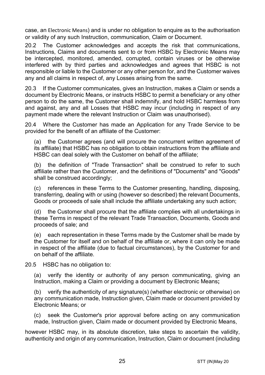case, an Electronic Means) and is under no obligation to enquire as to the authorisation or validity of any such Instruction, communication, Claim or Document.

20.2 The Customer acknowledges and accepts the risk that communications, Instructions, Claims and documents sent to or from HSBC by Electronic Means may be intercepted, monitored, amended, corrupted, contain viruses or be otherwise interfered with by third parties and acknowledges and agrees that HSBC is not responsible or liable to the Customer or any other person for, and the Customer waives any and all claims in respect of, any Losses arising from the same.

20.3 If the Customer communicates, gives an Instruction, makes a Claim or sends a document by Electronic Means, or instructs HSBC to permit a beneficiary or any other person to do the same, the Customer shall indemnify, and hold HSBC harmless from and against, any and all Losses that HSBC may incur (including in respect of any payment made where the relevant Instruction or Claim was unauthorised).

20.4 Where the Customer has made an Application for any Trade Service to be provided for the benefit of an affiliate of the Customer:

(a) the Customer agrees (and will procure the concurrent written agreement of its affiliate) that HSBC has no obligation to obtain instructions from the affiliate and HSBC can deal solely with the Customer on behalf of the affiliate;

(b) the definition of "Trade Transaction" shall be construed to refer to such affiliate rather than the Customer, and the definitions of "Documents" and "Goods" shall be construed accordingly;

(c) references in these Terms to the Customer presenting, handling, disposing, transferring, dealing with or using (however so described) the relevant Documents, Goods or proceeds of sale shall include the affiliate undertaking any such action;

(d) the Customer shall procure that the affiliate complies with all undertakings in these Terms in respect of the relevant Trade Transaction, Documents, Goods and proceeds of sale; and

(e) each representation in these Terms made by the Customer shall be made by the Customer for itself and on behalf of the affiliate or, where it can only be made in respect of the affiliate (due to factual circumstances), by the Customer for and on behalf of the affiliate.

20.5 HSBC has no obligation to:

(a) verify the identity or authority of any person communicating, giving an Instruction, making a Claim or providing a document by Electronic Means**;**

(b) verify the authenticity of any signature(s) (whether electronic or otherwise) on any communication made, Instruction given, Claim made or document provided by Electronic Means; or

(c) seek the Customer's prior approval before acting on any communication made, Instruction given, Claim made or document provided by Electronic Means,

however HSBC may, in its absolute discretion, take steps to ascertain the validity, authenticity and origin of any communication, Instruction, Claim or document (including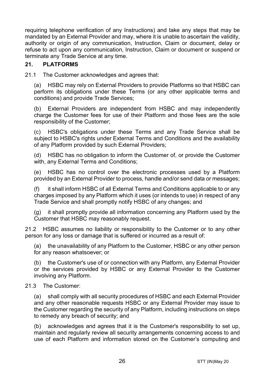requiring telephone verification of any Instructions) and take any steps that may be mandated by an External Provider and may, where it is unable to ascertain the validity, authority or origin of any communication, Instruction, Claim or document, delay or refuse to act upon any communication, Instruction, Claim or document or suspend or terminate any Trade Service at any time.

#### **21. PLATFORMS**

21.1 The Customer acknowledges and agrees that:

(a) HSBC may rely on External Providers to provide Platforms so that HSBC can perform its obligations under these Terms (or any other applicable terms and conditions) and provide Trade Services;

(b) External Providers are independent from HSBC and may independently charge the Customer fees for use of their Platform and those fees are the sole responsibility of the Customer;

(c) HSBC's obligations under these Terms and any Trade Service shall be subject to HSBC's rights under External Terms and Conditions and the availability of any Platform provided by such External Providers;

(d) HSBC has no obligation to inform the Customer of, or provide the Customer with, any External Terms and Conditions;

(e) HSBC has no control over the electronic processes used by a Platform provided by an External Provider to process, handle and/or send data or messages;

(f) it shall inform HSBC of all External Terms and Conditions applicable to or any charges imposed by any Platform which it uses (or intends to use) in respect of any Trade Service and shall promptly notify HSBC of any changes; and

(g) it shall promptly provide all information concerning any Platform used by the Customer that HSBC may reasonably request.

21.2 HSBC assumes no liability or responsibility to the Customer or to any other person for any loss or damage that is suffered or incurred as a result of:

(a) the unavailability of any Platform to the Customer, HSBC or any other person for any reason whatsoever; or

(b) the Customer's use of or connection with any Platform, any External Provider or the services provided by HSBC or any External Provider to the Customer involving any Platform.

#### 21.3 The Customer:

(a) shall comply with all security procedures of HSBC and each External Provider and any other reasonable requests HSBC or any External Provider may issue to the Customer regarding the security of any Platform, including instructions on steps to remedy any breach of security; and

(b) acknowledges and agrees that it is the Customer's responsibility to set up, maintain and regularly review all security arrangements concerning access to and use of each Platform and information stored on the Customer's computing and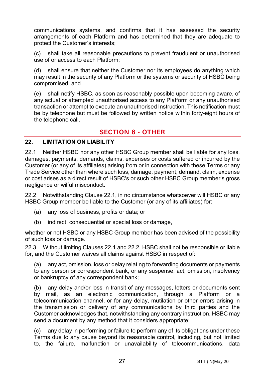communications systems, and confirms that it has assessed the security arrangements of each Platform and has determined that they are adequate to protect the Customer's interests;

(c) shall take all reasonable precautions to prevent fraudulent or unauthorised use of or access to each Platform;

(d) shall ensure that neither the Customer nor its employees do anything which may result in the security of any Platform or the systems or security of HSBC being compromised; and

(e) shall notify HSBC, as soon as reasonably possible upon becoming aware, of any actual or attempted unauthorised access to any Platform or any unauthorised transaction or attempt to execute an unauthorised Instruction. This notification must be by telephone but must be followed by written notice within forty-eight hours of the telephone call.

# **SECTION 6 - OTHER**

#### **22. LIMITATION ON LIABILITY**

<span id="page-26-0"></span>22.1 Neither HSBC nor any other HSBC Group member shall be liable for any loss, damages, payments, demands, claims, expenses or costs suffered or incurred by the Customer (or any of its affiliates) arising from or in connection with these Terms or any Trade Service other than where such loss, damage, payment, demand, claim, expense or cost arises as a direct result of HSBC's or such other HSBC Group member's gross negligence or wilful misconduct.

<span id="page-26-1"></span>22.2 Notwithstanding Clause [22.1,](#page-26-0) in no circumstance whatsoever will HSBC or any HSBC Group member be liable to the Customer (or any of its affiliates) for:

- (a) any loss of business, profits or data; or
- (b) indirect, consequential or special loss or damage,

whether or not HSBC or any HSBC Group member has been advised of the possibility of such loss or damage.

22.3 Without limiting Clauses [22.1](#page-26-0) and [22.2,](#page-26-1) HSBC shall not be responsible or liable for, and the Customer waives all claims against HSBC in respect of:

(a) any act, omission, loss or delay relating to forwarding documents or payments to any person or correspondent bank, or any suspense, act, omission, insolvency or bankruptcy of any correspondent bank;

(b) any delay and/or loss in transit of any messages, letters or documents sent by mail, as an electronic communication, through a Platform or a telecommunication channel, or for any delay, mutilation or other errors arising in the transmission or delivery of any communications by third parties and the Customer acknowledges that, notwithstanding any contrary instruction, HSBC may send a document by any method that it considers appropriate;

(c) any delay in performing or failure to perform any of its obligations under these Terms due to any cause beyond its reasonable control, including, but not limited to, the failure, malfunction or unavailability of telecommunications, data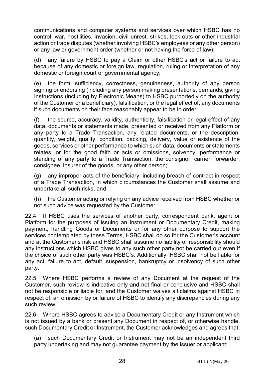communications and computer systems and services over which HSBC has no control, war, hostilities, invasion, civil unrest, strikes, lock-outs or other industrial action or trade disputes (whether involving HSBC's employees or any other person) or any law or government order (whether or not having the force of law);

(d) any failure by HSBC to pay a Claim or other HSBC's act or failure to act because of any domestic or foreign law, regulation, ruling or interpretation of any domestic or foreign court or governmental agency;

(e) the form, sufficiency, correctness, genuineness, authority of any person signing or endorsing (including any person making presentations, demands, giving Instructions (including by Electronic Means) to HSBC purportedly on the authority of the Customer or a beneficiary), falsification, or the legal effect of, any documents if such documents on their face reasonably appear to be in order;

(f) the source, accuracy, validity, authenticity, falsification or legal effect of any data, documents or statements made, presented or received from any Platform or any party to a Trade Transaction, any related documents, or the description, quantity, weight, quality, condition, packing, delivery, value or existence of the goods, services or other performance to which such data, documents or statements relates, or for the good faith or acts or omissions, solvency, performance or standing of any party to a Trade Transaction, the consignor, carrier, forwarder, consignee, insurer of the goods, or any other person;

(g) any improper acts of the beneficiary, including breach of contract in respect of a Trade Transaction, in which circumstances the Customer shall assume and undertake all such risks; and

(h) the Customer acting or relying on any advice received from HSBC whether or not such advice was requested by the Customer.

22.4 If HSBC uses the services of another party, correspondent bank, agent or Platform for the purposes of issuing an Instrument or Documentary Credit, making payment, handling Goods or Documents or for any other purpose to support the services contemplated by these Terms, HSBC shall do so for the Customer's account and at the Customer's risk and HSBC shall assume no liability or responsibility should any instructions which HSBC gives to any such other party not be carried out even if the choice of such other party was HSBC's. Additionally, HSBC shall not be liable for any act, failure to act, default, suspension, bankruptcy or insolvency of such other party.

22.5 Where HSBC performs a review of any Document at the request of the Customer, such review is indicative only and not final or conclusive and HSBC shall not be responsible or liable for, and the Customer waives all claims against HSBC in respect of, an omission by or failure of HSBC to identify any discrepancies during any such review.

22.6 Where HSBC agrees to advise a Documentary Credit or any Instrument which is not issued by a bank or present any Document in respect of, or otherwise handle, such Documentary Credit or Instrument, the Customer acknowledges and agrees that:

(a) such Documentary Credit or Instrument may not be an independent third party undertaking and may not guarantee payment by the issuer or applicant;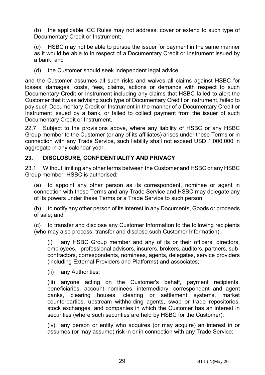(b) the applicable ICC Rules may not address, cover or extend to such type of Documentary Credit or Instrument:

HSBC may not be able to pursue the issuer for payment in the same manner as it would be able to in respect of a Documentary Credit or Instrument issued by a bank; and

(d) the Customer should seek independent legal advice,

and the Customer assumes all such risks and waives all claims against HSBC for losses, damages, costs, fees, claims, actions or demands with respect to such Documentary Credit or Instrument including any claims that HSBC failed to alert the Customer that it was advising such type of Documentary Credit or Instrument, failed to pay such Documentary Credit or Instrument in the manner of a Documentary Credit or Instrument issued by a bank, or failed to collect payment from the issuer of such Documentary Credit or Instrument.

22.7 Subject to the provisions above, where any liability of HSBC or any HSBC Group member to the Customer (or any of its affiliates) arises under these Terms or in connection with any Trade Service, such liability shall not exceed USD 1,000,000 in aggregate in any calendar year.

#### <span id="page-28-1"></span>**23. DISCLOSURE, CONFIDENTIALITY AND PRIVACY**

23.1 Without limiting any other terms between the Customer and HSBC or any HSBC Group member, HSBC is authorised:

<span id="page-28-0"></span>(a) to appoint any other person as its correspondent, nominee or agent in connection with these Terms and any Trade Service and HSBC may delegate any of its powers under these Terms or a Trade Service to such person;

(b) to notify any other person of its interest in any Documents, Goods or proceeds of sale; and

(c) to transfer and disclose any Customer Information to the following recipients (who may also process, transfer and disclose such Customer Information):

(i) any HSBC Group member and any of its or their officers, directors, employees, professional advisors, insurers, brokers, auditors, partners, subcontractors, correspondents, nominees, agents, delegates, service providers (including External Providers and Platforms) and associates;

(ii) any Authorities;

(iii) anyone acting on the Customer's behalf, payment recipients, beneficiaries, account nominees, intermediary, correspondent and agent banks, clearing houses, clearing or settlement systems, market counterparties, upstream withholding agents, swap or trade repositories, stock exchanges, and companies in which the Customer has an interest in securities (where such securities are held by HSBC for the Customer);

(iv) any person or entity who acquires (or may acquire) an interest in or assumes (or may assume) risk in or in connection with any Trade Service;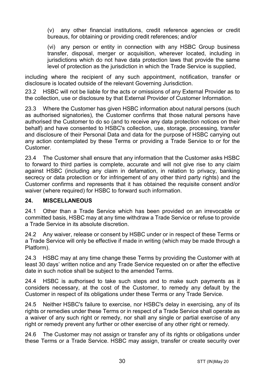(v) any other financial institutions, credit reference agencies or credit bureaus, for obtaining or providing credit references; and/or

(vi) any person or entity in connection with any HSBC Group business transfer, disposal, merger or acquisition, wherever located, including in jurisdictions which do not have data protection laws that provide the same level of protection as the jurisdiction in which the Trade Service is supplied,

including where the recipient of any such appointment, notification, transfer or disclosure is located outside of the relevant Governing Jurisdiction.

23.2 HSBC will not be liable for the acts or omissions of any External Provider as to the collection, use or disclosure by that External Provider of Customer Information.

23.3 Where the Customer has given HSBC information about natural persons (such as authorised signatories), the Customer confirms that those natural persons have authorised the Customer to do so (and to receive any data protection notices on their behalf) and have consented to HSBC's collection, use, storage, processing, transfer and disclosure of their Personal Data and data for the purpose of HSBC carrying out any action contemplated by these Terms or providing a Trade Service to or for the Customer.

23.4 The Customer shall ensure that any information that the Customer asks HSBC to forward to third parties is complete, accurate and will not give rise to any claim against HSBC (including any claim in defamation, in relation to privacy, banking secrecy or data protection or for infringement of any other third party rights) and the Customer confirms and represents that it has obtained the requisite consent and/or waiver (where required) for HSBC to forward such information.

#### **24. MISCELLANEOUS**

24.1 Other than a Trade Service which has been provided on an irrevocable or committed basis, HSBC may at any time withdraw a Trade Service or refuse to provide a Trade Service in its absolute discretion.

24.2 Any waiver, release or consent by HSBC under or in respect of these Terms or a Trade Service will only be effective if made in writing (which may be made through a Platform).

24.3 HSBC may at any time change these Terms by providing the Customer with at least 30 days' written notice and any Trade Service requested on or after the effective date in such notice shall be subject to the amended Terms.

24.4 HSBC is authorised to take such steps and to make such payments as it considers necessary, at the cost of the Customer, to remedy any default by the Customer in respect of its obligations under these Terms or any Trade Service.

24.5 Neither HSBC's failure to exercise, nor HSBC's delay in exercising, any of its rights or remedies under these Terms or in respect of a Trade Service shall operate as a waiver of any such right or remedy, nor shall any single or partial exercise of any right or remedy prevent any further or other exercise of any other right or remedy.

24.6 The Customer may not assign or transfer any of its rights or obligations under these Terms or a Trade Service. HSBC may assign, transfer or create security over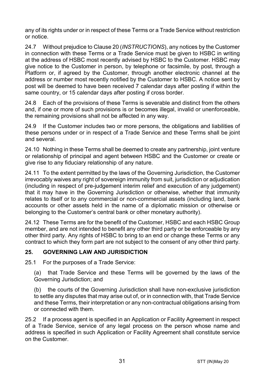any of its rights under or in respect of these Terms or a Trade Service without restriction or notice.

24.7 Without prejudice to Claus[e 20](#page-23-0) (*[INSTRUCTIONS](#page-23-0)*), any notices by the Customer in connection with these Terms or a Trade Service must be given to HSBC in writing at the address of HSBC most recently advised by HSBC to the Customer. HSBC may give notice to the Customer in person, by telephone or facsimile, by post, through a Platform or, if agreed by the Customer, through another electronic channel at the address or number most recently notified by the Customer to HSBC. A notice sent by post will be deemed to have been received 7 calendar days after posting if within the same country, or 15 calendar days after posting if cross border.

24.8 Each of the provisions of these Terms is severable and distinct from the others and, if one or more of such provisions is or becomes illegal, invalid or unenforceable, the remaining provisions shall not be affected in any way.

24.9 If the Customer includes two or more persons, the obligations and liabilities of these persons under or in respect of a Trade Service and these Terms shall be joint and several.

24.10 Nothing in these Terms shall be deemed to create any partnership, joint venture or relationship of principal and agent between HSBC and the Customer or create or give rise to any fiduciary relationship of any nature.

24.11 To the extent permitted by the laws of the Governing Jurisdiction, the Customer irrevocably waives any right of sovereign immunity from suit, jurisdiction or adjudication (including in respect of pre-judgement interim relief and execution of any judgement) that it may have in the Governing Jurisdiction or otherwise, whether that immunity relates to itself or to any commercial or non-commercial assets (including land, bank accounts or other assets held in the name of a diplomatic mission or otherwise or belonging to the Customer's central bank or other monetary authority).

24.12 These Terms are for the benefit of the Customer, HSBC and each HSBC Group member, and are not intended to benefit any other third party or be enforceable by any other third party. Any rights of HSBC to bring to an end or change these Terms or any contract to which they form part are not subject to the consent of any other third party.

### **25. GOVERNING LAW AND JURISDICTION**

25.1 For the purposes of a Trade Service:

(a) that Trade Service and these Terms will be governed by the laws of the Governing Jurisdiction; and

(b) the courts of the Governing Jurisdiction shall have non-exclusive jurisdiction to settle any disputes that may arise out of, or in connection with, that Trade Service and these Terms, their interpretation or any non-contractual obligations arising from or connected with them.

25.2 If a process agent is specified in an Application or Facility Agreement in respect of a Trade Service, service of any legal process on the person whose name and address is specified in such Application or Facility Agreement shall constitute service on the Customer.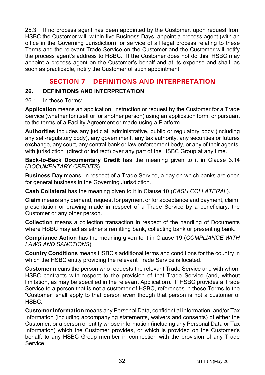25.3 If no process agent has been appointed by the Customer, upon request from HSBC the Customer will, within five Business Days, appoint a process agent (with an office in the Governing Jurisdiction) for service of all legal process relating to these Terms and the relevant Trade Service on the Customer and the Customer will notify the process agent's address to HSBC. If the Customer does not do this, HSBC may appoint a process agent on the Customer's behalf and at its expense and shall, as soon as practicable, notify the Customer of such appointment.

# **SECTION 7 – DEFINITIONS AND INTERPRETATION**

#### **26. DEFINITIONS AND INTERPRETATION**

#### 26.1 In these Terms:

**Application** means an application, instruction or request by the Customer for a Trade Service (whether for itself or for another person) using an application form, or pursuant to the terms of a Facility Agreement or made using a Platform.

**Authorities** includes any judicial, administrative, public or regulatory body (including any self-regulatory body), any government, any tax authority, any securities or futures exchange, any court, any central bank or law enforcement body, or any of their agents, with jurisdiction (direct or indirect) over any part of the HSBC Group at any time.

**Back-to-Back Documentary Credit** has the meaning given to it in Clause [3.14](#page-5-0) (*[DOCUMENTARY CREDITS](#page-3-0)*).

**Business Day** means, in respect of a Trade Service, a day on which banks are open for general business in the Governing Jurisdiction.

**Cash Collateral** has the meaning given to it in Clause [10](#page-13-2) (*[CASH COLLATERAL](#page-13-2)*).

**Claim** means any demand, request for payment or for acceptance and payment, claim, presentation or drawing made in respect of a Trade Service by a beneficiary, the Customer or any other person.

**Collection** means a collection transaction in respect of the handling of Documents where HSBC may act as either a remitting bank, collecting bank or presenting bank.

**Compliance Action** has the meaning given to it in Clause [19](#page-22-0) (*[COMPLIANCE WITH](#page-22-0)  [LAWS AND SANCTIONS](#page-22-0)*).

**Country Conditions** means HSBC's additional terms and conditions for the country in which the HSBC entity providing the relevant Trade Service is located.

**Customer** means the person who requests the relevant Trade Service and with whom HSBC contracts with respect to the provision of that Trade Service (and, without limitation, as may be specified in the relevant Application). If HSBC provides a Trade Service to a person that is not a customer of HSBC, references in these Terms to the "Customer" shall apply to that person even though that person is not a customer of HSBC.

**Customer Information** means any Personal Data, confidential information, and/or Tax Information (including accompanying statements, waivers and consents) of either the Customer, or a person or entity whose information (including any Personal Data or Tax Information) which the Customer provides, or which is provided on the Customer's behalf, to any HSBC Group member in connection with the provision of any Trade Service.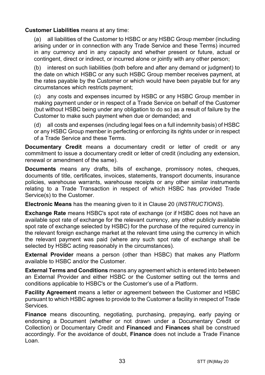#### **Customer Liabilities** means at any time:

(a) all liabilities of the Customer to HSBC or any HSBC Group member (including arising under or in connection with any Trade Service and these Terms) incurred in any currency and in any capacity and whether present or future, actual or contingent, direct or indirect, or incurred alone or jointly with any other person;

(b) interest on such liabilities (both before and after any demand or judgment) to the date on which HSBC or any such HSBC Group member receives payment, at the rates payable by the Customer or which would have been payable but for any circumstances which restricts payment;

(c) any costs and expenses incurred by HSBC or any HSBC Group member in making payment under or in respect of a Trade Service on behalf of the Customer (but without HSBC being under any obligation to do so) as a result of failure by the Customer to make such payment when due or demanded; and

(d) all costs and expenses (including legal fees on a full indemnity basis) of HSBC or any HSBC Group member in perfecting or enforcing its rights under or in respect of a Trade Service and these Terms.

**Documentary Credit** means a documentary credit or letter of credit or any commitment to issue a documentary credit or letter of credit (including any extension, renewal or amendment of the same).

**Documents** means any drafts, bills of exchange, promissory notes, cheques, documents of title, certificates, invoices, statements, transport documents, insurance policies, warehouse warrants, warehouse receipts or any other similar instruments relating to a Trade Transaction in respect of which HSBC has provided Trade Service(s) to the Customer.

**Electronic Means** has the meaning given to it in Clause [20](#page-23-0) (*[INSTRUCTIONS](#page-23-0)*).

**Exchange Rate** means HSBC's spot rate of exchange (or if HSBC does not have an available spot rate of exchange for the relevant currency, any other publicly available spot rate of exchange selected by HSBC) for the purchase of the required currency in the relevant foreign exchange market at the relevant time using the currency in which the relevant payment was paid (where any such spot rate of exchange shall be selected by HSBC acting reasonably in the circumstances).

**External Provider** means a person (other than HSBC) that makes any Platform available to HSBC and/or the Customer.

**External Terms and Conditions** means any agreement which is entered into between an External Provider and either HSBC or the Customer setting out the terms and conditions applicable to HSBC's or the Customer's use of a Platform.

**Facility Agreement** means a letter or agreement between the Customer and HSBC pursuant to which HSBC agrees to provide to the Customer a facility in respect of Trade Services.

**Finance** means discounting, negotiating, purchasing, prepaying, early paying or endorsing a Document (whether or not drawn under a Documentary Credit or Collection) or Documentary Credit and **Financed** and **Finances** shall be construed accordingly. For the avoidance of doubt, **Finance** does not include a Trade Finance Loan.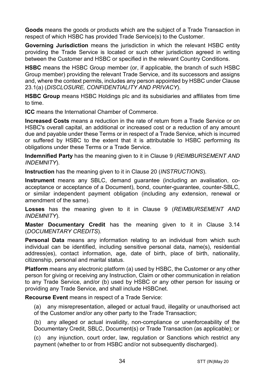**Goods** means the goods or products which are the subject of a Trade Transaction in respect of which HSBC has provided Trade Service(s) to the Customer.

**Governing Jurisdiction** means the jurisdiction in which the relevant HSBC entity providing the Trade Service is located or such other jurisdiction agreed in writing between the Customer and HSBC or specified in the relevant Country Conditions.

**HSBC** means the HSBC Group member (or, if applicable, the branch of such HSBC Group member) providing the relevant Trade Service, and its successors and assigns and, where the context permits, includes any person appointed by HSBC under Clause [23.1\(a\)](#page-28-0) (*[DISCLOSURE, CONFIDENTIALITY AND PRIVACY](#page-28-1)*).

**HSBC Group** means HSBC Holdings plc and its subsidiaries and affiliates from time to time.

**ICC** means the International Chamber of Commerce.

**Increased Costs** means a reduction in the rate of return from a Trade Service or on HSBC's overall capital, an additional or increased cost or a reduction of any amount due and payable under these Terms or in respect of a Trade Service, which is incurred or suffered by HSBC to the extent that it is attributable to HSBC performing its obligations under these Terms or a Trade Service.

**Indemnified Party** has the meaning given to it in Claus[e 9](#page-13-0) (*[REIMBURSEMENT AND](#page-13-0)  [INDEMNITY](#page-13-0)*).

**Instruction** has the meaning given to it in Clause [20](#page-23-0) (*[INSTRUCTIONS](#page-23-0)*).

**Instrument** means any SBLC, demand guarantee (including an avalisation, coacceptance or acceptance of a Document), bond, counter-guarantee, counter-SBLC, or similar independent payment obligation (including any extension, renewal or amendment of the same).

**Losses** has the meaning given to it in Clause [9](#page-13-0) (*[REIMBURSEMENT AND](#page-13-0)  [INDEMNITY](#page-13-0)*).

**Master Documentary Credit** has the meaning given to it in Clause [3.14](#page-5-0) (*[DOCUMENTARY CREDITS](#page-3-0)*).

**Personal Data** means any information relating to an individual from which such individual can be identified, including sensitive personal data, name(s), residential address(es), contact information, age, date of birth, place of birth, nationality, citizenship, personal and marital status.

**Platform** means any electronic platform (a) used by HSBC, the Customer or any other person for giving or receiving any Instruction, Claim or other communication in relation to any Trade Service, and/or (b) used by HSBC or any other person for issuing or providing any Trade Service, and shall include HSBCnet.

**Recourse Event** means in respect of a Trade Service:

(a) any misrepresentation, alleged or actual fraud, illegality or unauthorised act of the Customer and/or any other party to the Trade Transaction;

(b) any alleged or actual invalidity, non-compliance or unenforceability of the Documentary Credit, SBLC, Document(s) or Trade Transaction (as applicable); or

(c) any injunction, court order, law, regulation or Sanctions which restrict any payment (whether to or from HSBC and/or not subsequently discharged).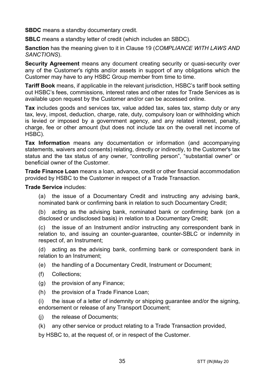**SBDC** means a standby documentary credit.

**SBLC** means a standby letter of credit (which includes an SBDC).

**Sanction** has the meaning given to it in Clause [19](#page-22-0) (*[COMPLIANCE WITH LAWS AND](#page-22-0)  [SANCTIONS](#page-22-0)*).

**Security Agreement** means any document creating security or quasi-security over any of the Customer's rights and/or assets in support of any obligations which the Customer may have to any HSBC Group member from time to time.

**Tariff Book** means, if applicable in the relevant jurisdiction, HSBC's tariff book setting out HSBC's fees, commissions, interest rates and other rates for Trade Services as is available upon request by the Customer and/or can be accessed online.

**Tax** includes goods and services tax, value added tax, sales tax, stamp duty or any tax, levy, impost, deduction, charge, rate, duty, compulsory loan or withholding which is levied or imposed by a government agency, and any related interest, penalty, charge, fee or other amount (but does not include tax on the overall net income of HSBC).

**Tax Information** means any documentation or information (and accompanying statements, waivers and consents) relating, directly or indirectly, to the Customer's tax status and the tax status of any owner, "controlling person", "substantial owner" or beneficial owner of the Customer.

**Trade Finance Loan** means a loan, advance, credit or other financial accommodation provided by HSBC to the Customer in respect of a Trade Transaction.

**Trade Service** includes:

(a) the issue of a Documentary Credit and instructing any advising bank, nominated bank or confirming bank in relation to such Documentary Credit;

(b) acting as the advising bank, nominated bank or confirming bank (on a disclosed or undisclosed basis) in relation to a Documentary Credit;

(c) the issue of an Instrument and/or instructing any correspondent bank in relation to, and issuing an counter-guarantee, counter-SBLC or indemnity in respect of, an Instrument;

(d) acting as the advising bank, confirming bank or correspondent bank in relation to an Instrument;

(e) the handling of a Documentary Credit, Instrument or Document;

- (f) Collections;
- (g) the provision of any Finance;
- (h) the provision of a Trade Finance Loan;

(i) the issue of a letter of indemnity or shipping guarantee and/or the signing, endorsement or release of any Transport Document;

- (i) the release of Documents:
- (k) any other service or product relating to a Trade Transaction provided,

by HSBC to, at the request of, or in respect of the Customer.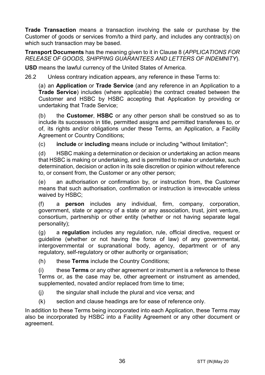**Trade Transaction** means a transaction involving the sale or purchase by the Customer of goods or services from/to a third party, and includes any contract(s) on which such transaction may be based.

**Transport Documents** has the meaning given to it in Clause [8](#page-12-0) (*[APPLICATIONS FOR](#page-12-0)  [RELEASE OF GOODS, SHIPPING GUARANTEES AND](#page-12-0) LETTERS OF INDEMNITY*).

**USD** means the lawful currency of the United States of America.

26.2 Unless contrary indication appears, any reference in these Terms to:

(a) an **Application** or **Trade Service** (and any reference in an Application to a **Trade Service**) includes (where applicable) the contract created between the Customer and HSBC by HSBC accepting that Application by providing or undertaking that Trade Service;

(b) the **Customer**, **HSBC** or any other person shall be construed so as to include its successors in title, permitted assigns and permitted transferees to, or of, its rights and/or obligations under these Terms, an Application, a Facility Agreement or Country Conditions;

(c) **include** or **including** means include or including "without limitation";

(d) HSBC making a determination or decision or undertaking an action means that HSBC is making or undertaking, and is permitted to make or undertake, such determination, decision or action in its sole discretion or opinion without reference to, or consent from, the Customer or any other person;

(e) an authorisation or confirmation by, or instruction from, the Customer means that such authorisation, confirmation or instruction is irrevocable unless waived by HSBC;

(f) a **person** includes any individual, firm, company, corporation, government, state or agency of a state or any association, trust, joint venture, consortium, partnership or other entity (whether or not having separate legal personality);

(g) a **regulation** includes any regulation, rule, official directive, request or guideline (whether or not having the force of law) of any governmental, intergovernmental or supranational body, agency, department or of any regulatory, self-regulatory or other authority or organisation;

(h) these **Terms** include the Country Conditions;

(i) these **Terms** or any other agreement or instrument is a reference to these Terms or, as the case may be, other agreement or instrument as amended, supplemented, novated and/or replaced from time to time;

- (j) the singular shall include the plural and vice versa; and
- (k) section and clause headings are for ease of reference only.

In addition to these Terms being incorporated into each Application, these Terms may also be incorporated by HSBC into a Facility Agreement or any other document or agreement.